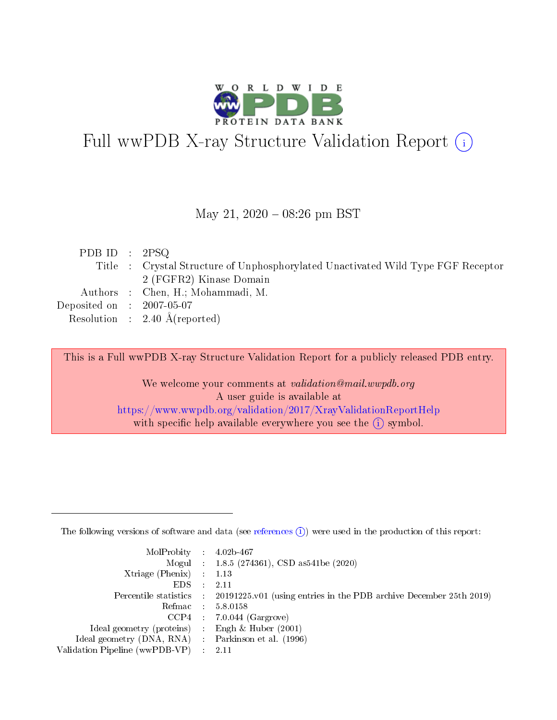

# Full wwPDB X-ray Structure Validation Report (i)

#### May 21,  $2020 - 08:26$  pm BST

| PDB ID : $2PSQ$                      |                                                                                  |
|--------------------------------------|----------------------------------------------------------------------------------|
|                                      | Title : Crystal Structure of Unphosphorylated Unactivated Wild Type FGF Receptor |
|                                      | 2 (FGFR2) Kinase Domain                                                          |
|                                      | Authors : Chen, H.; Mohammadi, M.                                                |
| Deposited on $\therefore$ 2007-05-07 |                                                                                  |
|                                      | Resolution : $2.40 \text{ Å}$ (reported)                                         |

This is a Full wwPDB X-ray Structure Validation Report for a publicly released PDB entry.

We welcome your comments at validation@mail.wwpdb.org A user guide is available at <https://www.wwpdb.org/validation/2017/XrayValidationReportHelp> with specific help available everywhere you see the  $(i)$  symbol.

The following versions of software and data (see [references](https://www.wwpdb.org/validation/2017/XrayValidationReportHelp#references)  $(1)$ ) were used in the production of this report:

| $MolProbability$ : 4.02b-467                        |                                                                                            |
|-----------------------------------------------------|--------------------------------------------------------------------------------------------|
|                                                     | Mogul : 1.8.5 (274361), CSD as 541be (2020)                                                |
| Xtriage (Phenix) $: 1.13$                           |                                                                                            |
| EDS :                                               | -2.11                                                                                      |
|                                                     | Percentile statistics : 20191225.v01 (using entries in the PDB archive December 25th 2019) |
| Refmac 58.0158                                      |                                                                                            |
|                                                     | $CCP4$ 7.0.044 (Gargrove)                                                                  |
| Ideal geometry (proteins) : Engh $\&$ Huber (2001)  |                                                                                            |
| Ideal geometry (DNA, RNA) : Parkinson et al. (1996) |                                                                                            |
| Validation Pipeline (wwPDB-VP) : 2.11               |                                                                                            |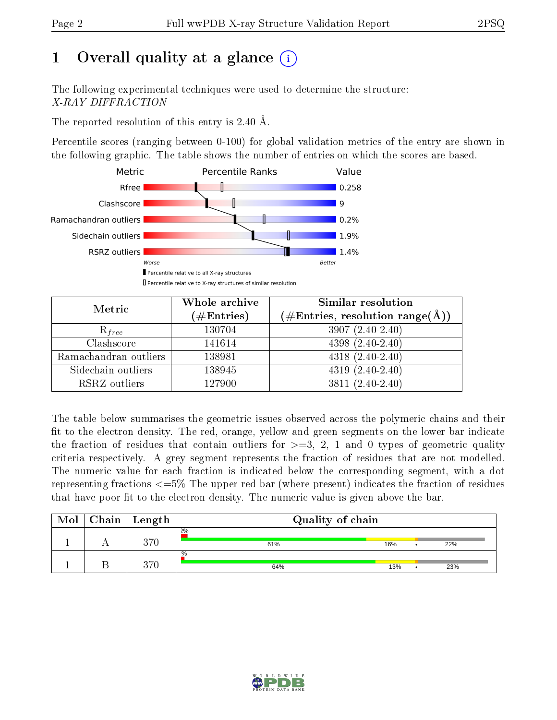# 1 [O](https://www.wwpdb.org/validation/2017/XrayValidationReportHelp#overall_quality)verall quality at a glance  $(i)$

The following experimental techniques were used to determine the structure: X-RAY DIFFRACTION

The reported resolution of this entry is 2.40 Å.

Percentile scores (ranging between 0-100) for global validation metrics of the entry are shown in the following graphic. The table shows the number of entries on which the scores are based.



| Metric                | Whole archive<br>$(\#\text{Entries})$ | <b>Similar resolution</b><br>$(\#\text{Entries}, \, \text{resolution range}(\textup{\AA}))$ |
|-----------------------|---------------------------------------|---------------------------------------------------------------------------------------------|
| $R_{free}$            | 130704                                | $3907(2.40-2.40)$                                                                           |
| Clashscore            | 141614                                | $4398(2.40-2.40)$                                                                           |
| Ramachandran outliers | 138981                                | $4318 (2.40 - 2.40)$                                                                        |
| Sidechain outliers    | 138945                                | $4319(2.40-2.40)$                                                                           |
| RSRZ outliers         | 127900                                | $3811(2.40-2.40)$                                                                           |

The table below summarises the geometric issues observed across the polymeric chains and their fit to the electron density. The red, orange, yellow and green segments on the lower bar indicate the fraction of residues that contain outliers for  $>=3, 2, 1$  and 0 types of geometric quality criteria respectively. A grey segment represents the fraction of residues that are not modelled. The numeric value for each fraction is indicated below the corresponding segment, with a dot representing fractions <=5% The upper red bar (where present) indicates the fraction of residues that have poor fit to the electron density. The numeric value is given above the bar.

| Mol | $Chain \  Length$ | Quality of chain |     |  |     |
|-----|-------------------|------------------|-----|--|-----|
|     | $370\,$           | 2%<br>61%        | 16% |  | 22% |
|     | 370               | $\%$<br>64%      | 13% |  | 23% |

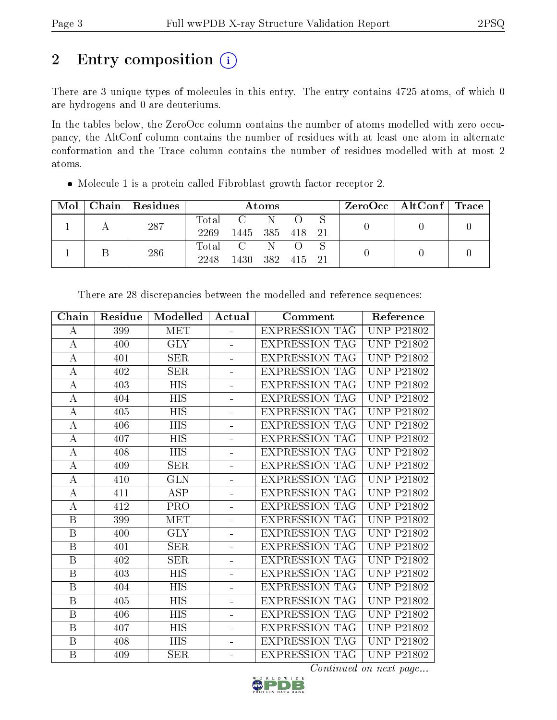# 2 Entry composition (i)

There are 3 unique types of molecules in this entry. The entry contains 4725 atoms, of which 0 are hydrogens and 0 are deuteriums.

In the tables below, the ZeroOcc column contains the number of atoms modelled with zero occupancy, the AltConf column contains the number of residues with at least one atom in alternate conformation and the Trace column contains the number of residues modelled with at most 2 atoms.

|  | $Mol$   Chain   Residues | Atoms            |                                     |      |        | $\text{ZeroOcc} \mid \text{AltConf} \mid \text{Trace}$ |  |  |
|--|--------------------------|------------------|-------------------------------------|------|--------|--------------------------------------------------------|--|--|
|  | 287                      | $\mathrm{Total}$ | $\rm C ~ ~ ~ ~ ~ ~ ~ ~ ~ ~ ~ \rm N$ |      |        |                                                        |  |  |
|  |                          | 2269             | 1445 385 418 21                     |      |        |                                                        |  |  |
|  | 286                      | Total            | $\rm C$ and $\rm C$                 | N    |        |                                                        |  |  |
|  |                          | 2248             | 1430                                | -382 | 415 21 |                                                        |  |  |

Molecule 1 is a protein called Fibroblast growth factor receptor 2.

| Chain            | Residue | Modelled         | Actual         | Comment               | Reference         |
|------------------|---------|------------------|----------------|-----------------------|-------------------|
| А                | 399     | MET              | $\equiv$       | <b>EXPRESSION TAG</b> | <b>UNP P21802</b> |
| A                | 400     | <b>GLY</b>       |                | <b>EXPRESSION TAG</b> | <b>UNP P21802</b> |
| A                | 401     | <b>SER</b>       |                | <b>EXPRESSION TAG</b> | <b>UNP P21802</b> |
| А                | 402     | SER              |                | <b>EXPRESSION TAG</b> | <b>UNP P21802</b> |
| А                | 403     | <b>HIS</b>       | ÷.             | <b>EXPRESSION TAG</b> | <b>UNP P21802</b> |
| А                | 404     | HIS              | ÷,             | <b>EXPRESSION TAG</b> | <b>UNP P21802</b> |
| $\boldsymbol{A}$ | 405     | <b>HIS</b>       |                | <b>EXPRESSION TAG</b> | <b>UNP P21802</b> |
| А                | 406     | HIS              | ÷.             | <b>EXPRESSION TAG</b> | <b>UNP P21802</b> |
| $\boldsymbol{A}$ | 407     | <b>HIS</b>       | -              | <b>EXPRESSION TAG</b> | <b>UNP P21802</b> |
| $\boldsymbol{A}$ | 408     | $\overline{HIS}$ | ÷.             | <b>EXPRESSION TAG</b> | <b>UNP P21802</b> |
| А                | 409     | SER              |                | <b>EXPRESSION TAG</b> | <b>UNP P21802</b> |
| $\boldsymbol{A}$ | 410     | <b>GLN</b>       |                | <b>EXPRESSION TAG</b> | <b>UNP P21802</b> |
| А                | 411     | ASP              |                | <b>EXPRESSION TAG</b> | <b>UNP P21802</b> |
| A                | 412     | <b>PRO</b>       | $\overline{a}$ | <b>EXPRESSION TAG</b> | <b>UNP P21802</b> |
| B                | 399     | MET              | ÷,             | <b>EXPRESSION TAG</b> | <b>UNP P21802</b> |
| $\, {\bf B}$     | 400     | <b>GLY</b>       | ÷,             | <b>EXPRESSION TAG</b> | <b>UNP P21802</b> |
| $\, {\bf B}$     | 401     | SER              |                | <b>EXPRESSION TAG</b> | <b>UNP P21802</b> |
| $\, {\bf B}$     | 402     | SER              |                | <b>EXPRESSION TAG</b> | <b>UNP P21802</b> |
| B                | 403     | <b>HIS</b>       |                | <b>EXPRESSION TAG</b> | <b>UNP P21802</b> |
| B                | 404     | HIS              |                | <b>EXPRESSION TAG</b> | <b>UNP P21802</b> |
| B                | 405     | HIS              |                | <b>EXPRESSION TAG</b> | <b>UNP P21802</b> |
| B                | 406     | <b>HIS</b>       |                | <b>EXPRESSION TAG</b> | <b>UNP P21802</b> |
| B                | 407     | <b>HIS</b>       |                | <b>EXPRESSION TAG</b> | <b>UNP P21802</b> |
| B                | 408     | HIS              | ÷,             | <b>EXPRESSION TAG</b> | <b>UNP P21802</b> |
| $\, {\bf B}$     | 409     | SER              | ÷,             | <b>EXPRESSION TAG</b> | <b>UNP P21802</b> |

There are 28 discrepancies between the modelled and reference sequences:

Continued on next page...

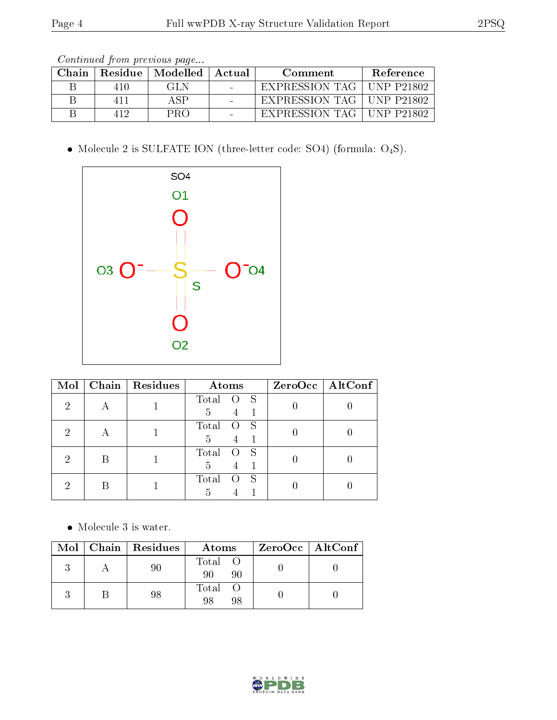| Continued from previous page |  |  |  |
|------------------------------|--|--|--|
|------------------------------|--|--|--|

| Chain |       | Residue   Modelled   Actual | Comment                     | Reference         |
|-------|-------|-----------------------------|-----------------------------|-------------------|
|       | 410   | GLN                         | EXPRESSION TAG              | $+$ UNP P21802    |
|       | 4 L L | ΔSΡ                         | EXPRESSION TAG   UNP P21802 |                   |
|       | 419   | PRO                         | EXPRESSION TAG              | <b>INP P21802</b> |

 $\bullet$  Molecule 2 is SULFATE ION (three-letter code: SO4) (formula:  $\mathrm{O}_4\mathrm{S}) .$ 



| Mol            |   | Chain   Residues | Atoms                                   | ZeroOcc   AltConf |
|----------------|---|------------------|-----------------------------------------|-------------------|
| $\overline{2}$ |   |                  | Total O S<br>5<br>$4 \quad 1$           |                   |
| 2              | A |                  | Total<br>$\overline{O}$ S<br>5<br>$4 -$ |                   |
| 2              | В |                  | Total<br>O S<br>5<br>$\overline{4}$     |                   |
| റ              |   |                  | Total<br>- S<br>$\circ$<br>5            |                   |

• Molecule 3 is water.

|  | Mol   Chain   Residues | Atoms               | ZeroOcc   AltConf |
|--|------------------------|---------------------|-------------------|
|  |                        | Total O<br>90<br>90 |                   |
|  |                        | Total<br>98<br>98   |                   |

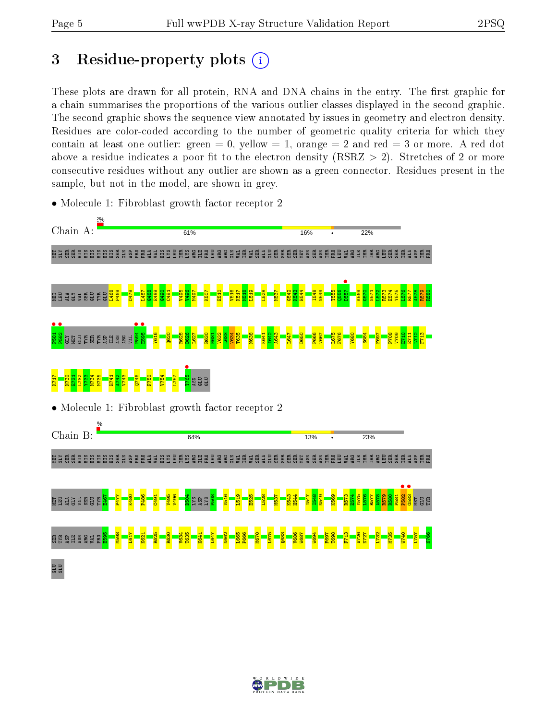# 3 Residue-property plots  $(i)$

These plots are drawn for all protein, RNA and DNA chains in the entry. The first graphic for a chain summarises the proportions of the various outlier classes displayed in the second graphic. The second graphic shows the sequence view annotated by issues in geometry and electron density. Residues are color-coded according to the number of geometric quality criteria for which they contain at least one outlier: green  $= 0$ , yellow  $= 1$ , orange  $= 2$  and red  $= 3$  or more. A red dot above a residue indicates a poor fit to the electron density (RSRZ  $> 2$ ). Stretches of 2 or more consecutive residues without any outlier are shown as a green connector. Residues present in the sample, but not in the model, are shown in grey.



• Molecule 1: Fibroblast growth factor receptor 2

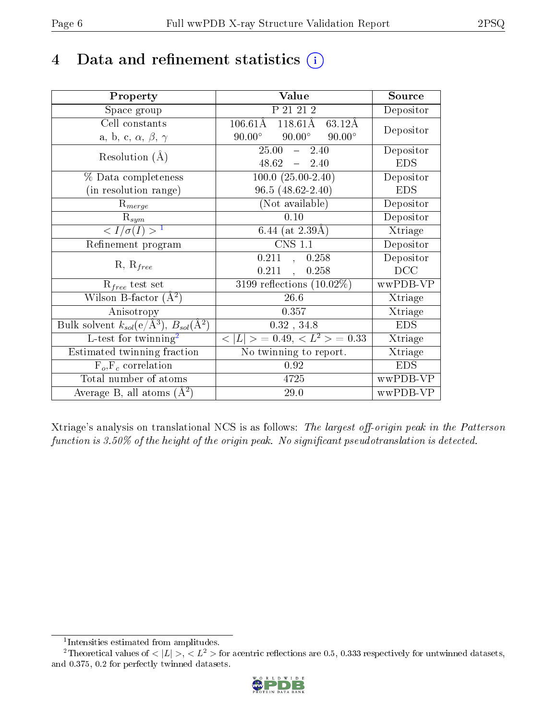# 4 Data and refinement statistics  $(i)$

| Property                                                         | Value                                             | Source     |
|------------------------------------------------------------------|---------------------------------------------------|------------|
| Space group                                                      | P 21 21 2                                         | Depositor  |
| Cell constants                                                   | $106.61\rm\AA$<br>$118.61\text{\AA}$<br>63.12Å    | Depositor  |
| a, b, c, $\alpha$ , $\beta$ , $\gamma$                           | $90.00^{\circ}$<br>$90.00^\circ$<br>$90.00^\circ$ |            |
| Resolution $(A)$                                                 | $25.00 - 2.40$                                    | Depositor  |
|                                                                  | $48.62 - 2.40$                                    | <b>EDS</b> |
| % Data completeness                                              | $100.0 (25.00 - 2.40)$                            | Depositor  |
| (in resolution range)                                            | $96.5(48.62 - 2.40)$                              | <b>EDS</b> |
| $R_{merge}$                                                      | (Not available)                                   | Depositor  |
| $\mathrm{R}_{sym}$                                               | 0.10                                              | Depositor  |
| $\langle I/\sigma(I) \rangle^{-1}$                               | 6.44 (at $2.39\text{\AA}$ )                       | Xtriage    |
| Refinement program                                               | <b>CNS 1.1</b>                                    | Depositor  |
| $R, R_{free}$                                                    | 0.211, 0.258                                      | Depositor  |
|                                                                  | $0.211$ ,<br>0.258                                | DCC        |
| $R_{free}$ test set                                              | 3199 reflections $(10.02\%)$                      | wwPDB-VP   |
| Wilson B-factor $(A^2)$                                          | $26.6\,$                                          | Xtriage    |
| Anisotropy                                                       | 0.357                                             | Xtriage    |
| Bulk solvent $k_{sol}(\text{e}/\text{A}^3), B_{sol}(\text{A}^2)$ | $0.32$ , $34.8$                                   | <b>EDS</b> |
| L-test for twinning <sup>2</sup>                                 | $< L >$ = 0.49, $< L^2 >$ = 0.33                  | Xtriage    |
| Estimated twinning fraction                                      | No twinning to report.                            | Xtriage    |
| $\overline{F_o}, \overline{F_c}$ correlation                     | 0.92                                              | <b>EDS</b> |
| Total number of atoms                                            | 4725                                              | wwPDB-VP   |
| Average B, all atoms $(A^2)$                                     | 29.0                                              | wwPDB-VP   |

Xtriage's analysis on translational NCS is as follows: The largest off-origin peak in the Patterson function is  $3.50\%$  of the height of the origin peak. No significant pseudotranslation is detected.

<sup>&</sup>lt;sup>2</sup>Theoretical values of  $\langle |L| \rangle$ ,  $\langle L^2 \rangle$  for acentric reflections are 0.5, 0.333 respectively for untwinned datasets, and 0.375, 0.2 for perfectly twinned datasets.



<span id="page-5-1"></span><span id="page-5-0"></span><sup>1</sup> Intensities estimated from amplitudes.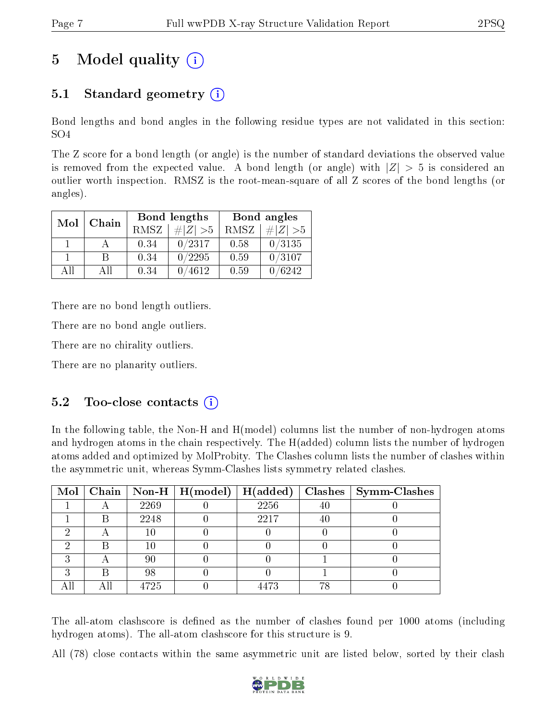# 5 Model quality  $(i)$

# 5.1 Standard geometry (i)

Bond lengths and bond angles in the following residue types are not validated in this section: SO4

The Z score for a bond length (or angle) is the number of standard deviations the observed value is removed from the expected value. A bond length (or angle) with  $|Z| > 5$  is considered an outlier worth inspection. RMSZ is the root-mean-square of all Z scores of the bond lengths (or angles).

| Mol | Chain |      | Bond lengths | Bond angles |             |  |
|-----|-------|------|--------------|-------------|-------------|--|
|     |       | RMSZ | $\# Z  > 5$  | RMSZ        | $\# Z  > 5$ |  |
|     |       | 0.34 | 0/2317       | 0.58        | 0/3135      |  |
|     | R     | 0.34 | 0/2295       | 0.59        | 0/3107      |  |
| ΑĦ  | A 11  | 0.34 | 4612         | 0.59        | 6242        |  |

There are no bond length outliers.

There are no bond angle outliers.

There are no chirality outliers.

There are no planarity outliers.

### $5.2$  Too-close contacts  $(i)$

In the following table, the Non-H and H(model) columns list the number of non-hydrogen atoms and hydrogen atoms in the chain respectively. The H(added) column lists the number of hydrogen atoms added and optimized by MolProbity. The Clashes column lists the number of clashes within the asymmetric unit, whereas Symm-Clashes lists symmetry related clashes.

|   |   |      | Mol   Chain   Non-H   H(model)   H(added) |      |    | $\textbf{Class} \mid \textbf{Symm-Class}$ |
|---|---|------|-------------------------------------------|------|----|-------------------------------------------|
|   |   | 2269 |                                           | 2256 | 40 |                                           |
|   | В | 2248 |                                           | 2217 | 40 |                                           |
|   |   | 10   |                                           |      |    |                                           |
|   |   | 10   |                                           |      |    |                                           |
| ച |   | 90   |                                           |      |    |                                           |
| ച | В | 98   |                                           |      |    |                                           |
|   |   | 4725 |                                           | 4473 | 78 |                                           |

The all-atom clashscore is defined as the number of clashes found per 1000 atoms (including hydrogen atoms). The all-atom clashscore for this structure is 9.

All (78) close contacts within the same asymmetric unit are listed below, sorted by their clash

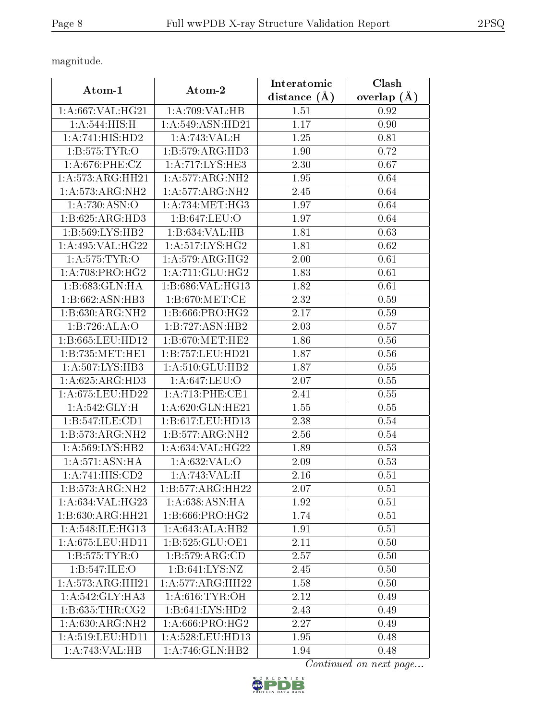magnitude.

|                             |                      | Interatomic    | Clash         |
|-----------------------------|----------------------|----------------|---------------|
| Atom-1                      | Atom-2               | distance $(A)$ | overlap $(A)$ |
| 1: A:667: VAL:HG21          | 1:A:709:VAL:HB       | 1.51           | 0.92          |
| 1:A:544:HIS:H               | 1: A: 549: ASN: HD21 | 1.17           | 0.90          |
| 1:A:741:HIS:HD2             | 1:A:743:VAL:H        | 1.25           | 0.81          |
| 1: B: 575: TYR: O           | 1:B:579:ARG:HD3      | 1.90           | 0.72          |
| 1: A:676: PHE: CZ           | 1:A:717:LYS:HE3      | 2.30           | 0.67          |
| 1:A:573:ARG:HH21            | 1: A:577: ARG: NH2   | 1.95           | 0.64          |
| 1:A:573:ARG:NH2             | 1:A:577:ARG:NH2      | 2.45           | 0.64          |
| 1: A:730: ASN:O             | 1: A:734:MET:HG3     | 1.97           | 0.64          |
| 1:B:625:ARG:HD3             | 1:B:647:LEU:O        | 1.97           | 0.64          |
| 1:B:569:LYS:HB2             | 1:B:634:VAL:HB       | 1.81           | 0.63          |
| 1:A:495:VAL:HG22            | 1: A:517: LYS: HG2   | 1.81           | 0.62          |
| 1: A:575: TYR:O             | 1: A:579: ARG:HG2    | 2.00           | 0.61          |
| 1: A:708: PRO:HG2           | 1: A: 711: GLU: HG2  | 1.83           | 0.61          |
| 1:B:683:GLN:HA              | 1:B:686:VAL:HG13     | 1.82           | 0.61          |
| 1:B:662:ASN:HB3             | 1: B:670:MET:CE      | 2.32           | 0.59          |
| 1:B:630:ARG:NH2             | 1:B:666:PRO:HG2      | 2.17           | 0.59          |
| 1:B:726:ALA:O               | 1:B:727:ASN:HB2      | 2.03           | 0.57          |
| 1:B:665:LEU:HD12            | 1: B:670:MET:HE2     | 1.86           | 0.56          |
| 1:B:735:MET:HE1             | 1:B:757:LEU:HD21     | 1.87           | 0.56          |
| 1:A:507:LYS:HB3             | 1:A:510:GLU:HB2      | 1.87           | 0.55          |
| 1: A:625: ARG:HD3           | 1: A:647:LEU:O       | 2.07           | 0.55          |
| 1:A:675:LEU:HD22            | 1: A:713: PHE:CE1    | 2.41           | 0.55          |
| 1: A:542: GLY: H            | 1:A:620:GLN:HE21     | 1.55           | 0.55          |
| 1:B:547:ILE:CD1             | 1:B:617:LEU:HD13     | 2.38           | 0.54          |
| 1:B:573:ARG:NH2             | 1:B:577:ARG:NH2      | 2.56           | 0.54          |
| 1:A:569:LYS:HB2             | 1: A:634: VAL:HG22   | 1.89           | 0.53          |
| $1:A:571:\overline{ASN:HA}$ | 1: A:632:VAL:O       | 2.09           | 0.53          |
| 1:A:741:HIS:CD2             | 1:A:743:VAL:H        | 2.16           | 0.51          |
| 1:B:573:ARG:NH2             | 1:B:577:ARG:HH22     | 2.07           | 0.51          |
| 1:A:634:VAL:HG23            | 1:A:638:ASN:HA       | 1.92           | 0.51          |
| 1:B:630:ARG:HH21            | 1: B:666: PRO:HG2    | 1.74           | 0.51          |
| 1:A:548:ILE:HG13            | 1:A:643:ALA:HB2      | 1.91           | 0.51          |
| 1: A:675: LEU: HD11         | 1:B:525:GLU:OE1      | 2.11           | 0.50          |
| 1: B: 575: TYR: O           | 1: B: 579: ARG: CD   | 2.57           | 0.50          |
| 1:B:547:ILE:O               | 1:B:641:LYS:NZ       | 2.45           | 0.50          |
| 1:A:573:ARG:HH21            | 1:A:577:ARG:HH22     | 1.58           | 0.50          |
| 1:A:542:GLY:HA3             | 1: A:616: TYR:OH     | 2.12           | 0.49          |
| 1: B: 635: THR: CG2         | 1:B:641:LYS:HD2      | 2.43           | 0.49          |
| 1:A:630:ARG:NH2             | 1: A:666: PRO:HG2    | 2.27           | 0.49          |
| 1: A:519: LEU: HD11         | 1:A:528:LEU:HD13     | 1.95           | 0.48          |
| 1:A:743:VAL:HB              | 1:A:746:GLN:HB2      | 1.94           | 0.48          |

Continued on next page...

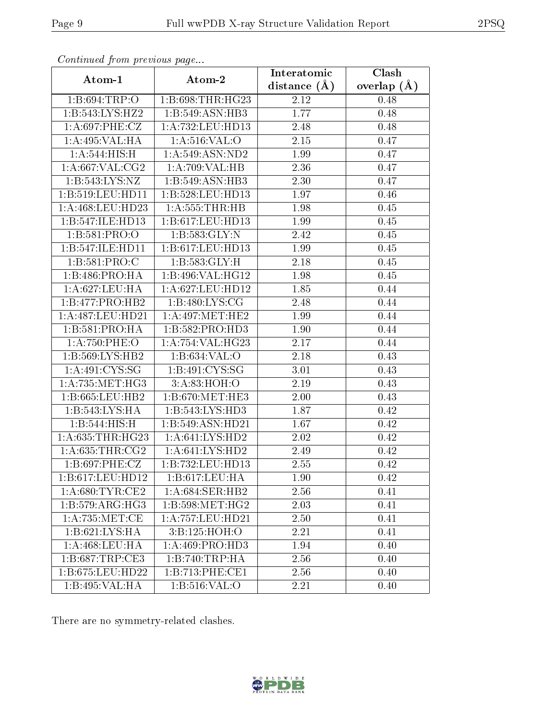| Continuatu from previous page        |                                    | Interatomic    | Clash         |
|--------------------------------------|------------------------------------|----------------|---------------|
| Atom-1                               | Atom-2                             | distance $(A)$ | overlap $(A)$ |
| 1: B:694:TRP:O                       | 1:B:698:THR:HG23                   | 2.12           | 0.48          |
| 1:B:543:LYS:HZ2                      | 1:B:549:ASN:HB3                    | 1.77           | 0.48          |
| 1: A:697:PHE:CZ                      | 1:A:732:LEU:HD13                   | 2.48           | 0.48          |
| 1:A:495:VAL:HA                       | 1: A:516: VAL:O                    | 2.15           | 0.47          |
| 1:A:544:HIS:H                        | 1: A:549: ASN:ND2                  | 1.99           | 0.47          |
| 1: A:667: VAL: CG2                   | 1:A:709:VAL:HB                     | 2.36           | 0.47          |
| 1: B: 543: LYS: NZ                   | 1:B:549:ASN:HB3                    | 2.30           | 0.47          |
| 1: B: 519: LEU: HD11                 | 1:B:528:LEU:HD13                   | 1.97           | 0.46          |
| 1:A:468:LEU:HD23                     | 1: A: 555: THR: HB                 | 1.98           | 0.45          |
| 1:B:547:ILE:HD13                     | 1:B:617:LEU:HD13                   | 1.99           | 0.45          |
| 1:B:581:PRO:O                        | 1:B:583:GLY:N                      | 2.42           | 0.45          |
| 1:B:547:ILE:HD11                     | 1:B:617:LEU:HD13                   | 1.99           | 0.45          |
| 1:B:581:PRO:C                        | 1: B: 583: GLY: H                  | 2.18           | 0.45          |
| 1:B:486:PRO:HA                       | 1:B:496:VAL:HG12                   | 1.98           | 0.45          |
| 1:A:627:LEU:HA                       | 1:A:627:LEU:HD12                   | 1.85           | 0.44          |
| 1:B:477:PRO:HB2                      | 1:B:480:LYS:CG                     | 2.48           | 0.44          |
| 1:A:487:LEU:HD21                     | 1: A:497: MET:HE2                  | 1.99           | 0.44          |
| 1: B:581: PRO:HA                     | 1:B:582:PRO:HD3                    | 1.90           | 0.44          |
| 1:A:750:PHE:O                        | 1:A:754:VAL:HG23                   | 2.17           | 0.44          |
| 1:5:569:LYS:HB2                      | 1:B:634:VAL:O                      | 2.18           | 0.43          |
| 1: A:491: CYS:SG                     | $1:B:491:\overline{\text{CYS:SG}}$ | 3.01           | 0.43          |
| 1: A: 735: MET: HG3                  | 3: A:83:HOH:O                      | 2.19           | 0.43          |
| 1:B:665:LEU:HB2                      | 1: B:670:MET:HE3                   | 2.00           | 0.43          |
| 1:B:543:LYS:HA                       | 1:B:543:LYS:HD3                    | 1.87           | 0.42          |
| 1:B:544:HIS:H                        | 1:B:549:ASN:HD21                   | 1.67           | 0.42          |
| 1: A: 635: THR: HG23                 | 1:A:641:LYS:HD2                    | 2.02           | 0.42          |
| 1: A:635:THR:CG2                     | 1: A:641: LYS:HD2                  | 2.49           | 0.42          |
| 1: B:697:PHE:CZ                      | 1:B:732:LEU:HD13                   | 2.55           | 0.42          |
| 1:B:617:LEU:HD12                     | 1:B:617:LEU:HA                     | 1.90           | 0.42          |
| 1: A:680: TYR: CE2                   | 1:A:684:SER:HB2                    | 2.56           | 0.41          |
| $1:B:579: \overline{\text{ARG:HG3}}$ | 1:B:598:MET:HG2                    | 2.03           | 0.41          |
| 1: A: 735: MET: CE                   | 1:A:757:LEU:HD21                   | 2.50           | 0.41          |
| 1: B:621: LYS: HA                    | 3:B:125:HOH:O                      | 2.21           | 0.41          |
| 1:A:468:LEU:HA                       | 1:A:469:PRO:H <sub>D3</sub>        | 1.94           | 0.40          |
| 1:B:687:TRP:CE3                      | 1:B:740:TRP:HA                     | 2.56           | 0.40          |
| $1:B:675:L\overline{EU:HD22}$        | 1:B:713:PHE:CE1                    | 2.56           | 0.40          |
| 1:B:495:VAL:HA                       | 1: B: 516: VAL: O                  | 2.21           | 0.40          |

Continued from previous page.

There are no symmetry-related clashes.

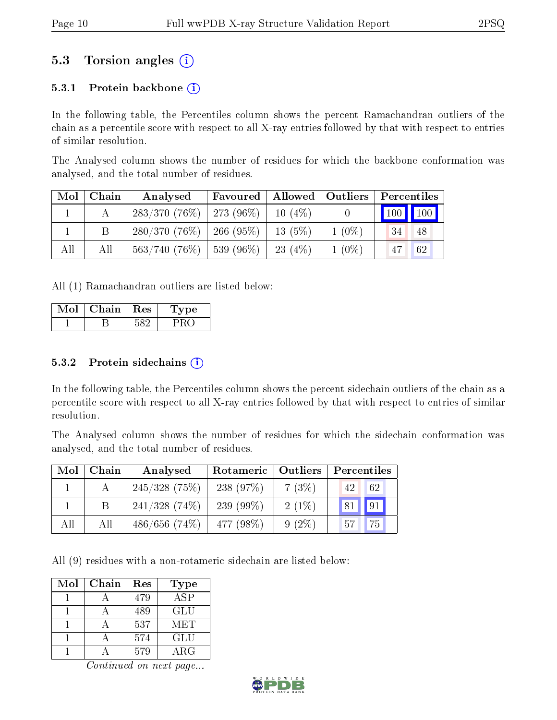# 5.3 Torsion angles (i)

#### 5.3.1 Protein backbone  $(i)$

In the following table, the Percentiles column shows the percent Ramachandran outliers of the chain as a percentile score with respect to all X-ray entries followed by that with respect to entries of similar resolution.

The Analysed column shows the number of residues for which the backbone conformation was analysed, and the total number of residues.

| Mol | Chain | Analysed                      | Favoured | Allowed   Outliers |          | Percentiles                 |    |
|-----|-------|-------------------------------|----------|--------------------|----------|-----------------------------|----|
|     |       | $283/370$ (76\%)   273 (96\%) |          | $10(4\%)$          |          | $\boxed{100}$ $\boxed{100}$ |    |
|     |       | $280/370$ (76\%)   266 (95\%) |          | $13(5\%)$          | $1(0\%)$ | 34                          | 48 |
| All | All   | $563/740$ (76\%)   539 (96\%) |          | 23 $(4\%)$         | $1(0\%)$ |                             | 62 |

All (1) Ramachandran outliers are listed below:

| Chain | <b>Res</b> | ype |
|-------|------------|-----|
|       |            |     |

#### $5.3.2$  Protein sidechains  $(i)$

In the following table, the Percentiles column shows the percent sidechain outliers of the chain as a percentile score with respect to all X-ray entries followed by that with respect to entries of similar resolution.

The Analysed column shows the number of residues for which the sidechain conformation was analysed, and the total number of residues.

| Mol | Chain | Analysed         | Rotameric   Outliers |          | Percentiles |
|-----|-------|------------------|----------------------|----------|-------------|
|     |       | $245/328$ (75%)  | 238(97%)             | 7(3%)    | 62<br>42    |
|     | Β     | $241/328$ (74\%) | 239 $(99\%)$         | $2(1\%)$ | 81   91     |
| All | All   | 486/656(74%)     | 477 (98\%)           | $9(2\%)$ | 75<br>57    |

All (9) residues with a non-rotameric sidechain are listed below:

| Mol | Chain | Res | Type       |
|-----|-------|-----|------------|
|     |       | 479 | ASP        |
|     |       | 489 | GLU        |
|     |       | 537 | MET        |
|     |       | 574 | GLU        |
|     |       | 579 | $\rm{ARG}$ |

Continued on next page...

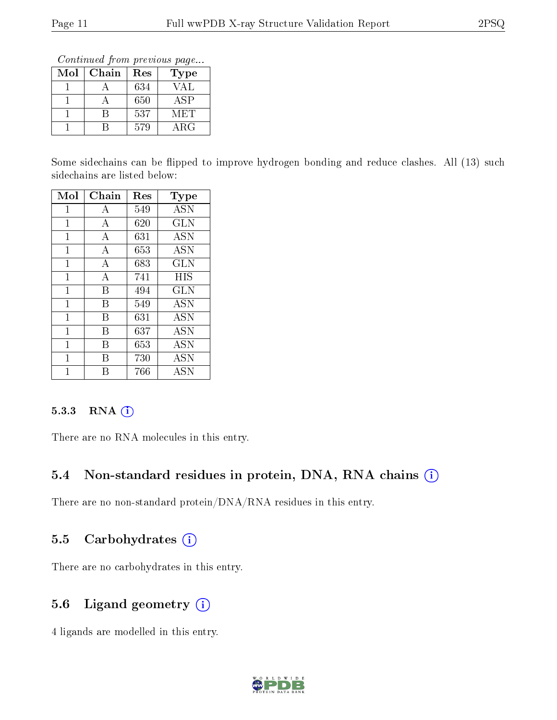Continued from previous page...

| $\operatorname{Mol}$ | Chain | Res | Type        |
|----------------------|-------|-----|-------------|
|                      |       | 634 | VAL         |
|                      |       | 650 | ASP         |
|                      |       | 537 | MET         |
|                      |       | 579 | ${\rm ARG}$ |

Some sidechains can be flipped to improve hydrogen bonding and reduce clashes. All (13) such sidechains are listed below:

| Mol          | Chain | Res | Type       |
|--------------|-------|-----|------------|
| 1            | А     | 549 | <b>ASN</b> |
| $\mathbf{1}$ | A     | 620 | <b>GLN</b> |
| 1            | А     | 631 | <b>ASN</b> |
| $\mathbf{1}$ | А     | 653 | <b>ASN</b> |
| 1            | А     | 683 | <b>GLN</b> |
| $\mathbf{1}$ | А     | 741 | HIS        |
| 1            | B     | 494 | <b>GLN</b> |
| $\mathbf{1}$ | В     | 549 | <b>ASN</b> |
| 1            | В     | 631 | <b>ASN</b> |
| 1            | B     | 637 | <b>ASN</b> |
| 1            | В     | 653 | <b>ASN</b> |
| 1            | В     | 730 | <b>ASN</b> |
| 1            | R     | 766 | <b>ASN</b> |

#### 5.3.3 RNA (i)

There are no RNA molecules in this entry.

### 5.4 Non-standard residues in protein, DNA, RNA chains (i)

There are no non-standard protein/DNA/RNA residues in this entry.

### 5.5 Carbohydrates (i)

There are no carbohydrates in this entry.

### 5.6 Ligand geometry (i)

4 ligands are modelled in this entry.

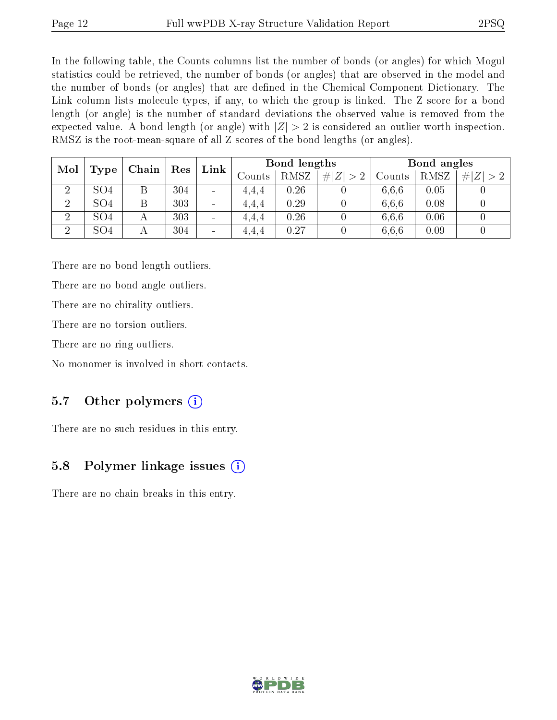In the following table, the Counts columns list the number of bonds (or angles) for which Mogul statistics could be retrieved, the number of bonds (or angles) that are observed in the model and the number of bonds (or angles) that are dened in the Chemical Component Dictionary. The Link column lists molecule types, if any, to which the group is linked. The Z score for a bond length (or angle) is the number of standard deviations the observed value is removed from the expected value. A bond length (or angle) with  $|Z| > 2$  is considered an outlier worth inspection. RMSZ is the root-mean-square of all Z scores of the bond lengths (or angles).

| Mol            |                 |   |     | Bond lengths<br>Link         |                   |      | Bond angles |        |      |         |
|----------------|-----------------|---|-----|------------------------------|-------------------|------|-------------|--------|------|---------|
|                | Chain<br>Type   |   | Res |                              | $\mathrm{Counts}$ | RMSZ | # $ Z  > 2$ | Counts | RMSZ | $\# Z $ |
| റ              | SO4             |   | 304 | $\overline{\phantom{a}}$     | 4,4,4             | 0.26 |             | 6,6,6  | 0.05 |         |
| $\overline{2}$ | SO <sub>4</sub> |   | 303 | $\overline{\phantom{a}}$     | 4.4.4             | 0.29 |             | 6.6.6  | 0.08 |         |
| $\overline{2}$ | SO <sub>4</sub> | А | 303 | $\qquad \qquad \blacksquare$ | 4.4.4             | 0.26 |             | 6.6.6  | 0.06 |         |
| $\overline{2}$ | SO <sub>4</sub> |   | 304 | $\qquad \qquad$              | 4.4.4             | 0.27 |             | 6,6,6  | 0.09 |         |

There are no bond length outliers.

There are no bond angle outliers.

There are no chirality outliers.

There are no torsion outliers.

There are no ring outliers.

No monomer is involved in short contacts.

### 5.7 [O](https://www.wwpdb.org/validation/2017/XrayValidationReportHelp#nonstandard_residues_and_ligands)ther polymers  $(i)$

There are no such residues in this entry.

### 5.8 Polymer linkage issues  $(i)$

There are no chain breaks in this entry.

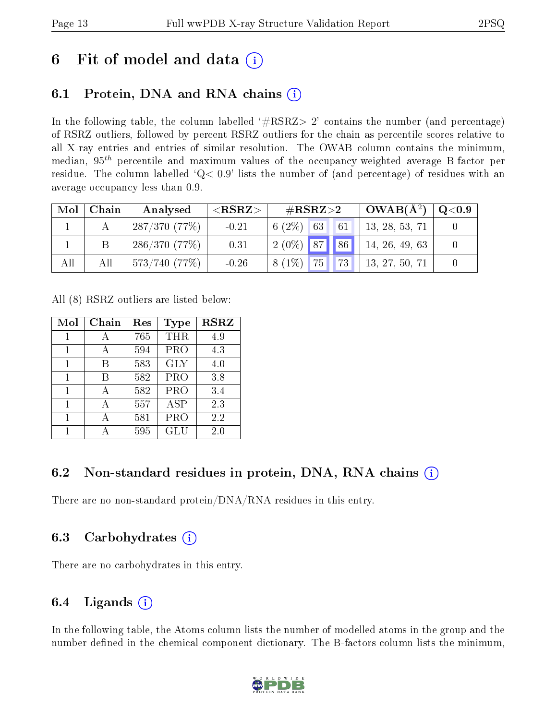# 6 Fit of model and data  $\left( \cdot \right)$

# 6.1 Protein, DNA and RNA chains (i)

In the following table, the column labelled  $#RSRZ>2'$  contains the number (and percentage) of RSRZ outliers, followed by percent RSRZ outliers for the chain as percentile scores relative to all X-ray entries and entries of similar resolution. The OWAB column contains the minimum, median,  $95<sup>th</sup>$  percentile and maximum values of the occupancy-weighted average B-factor per residue. The column labelled ' $Q< 0.9$ ' lists the number of (and percentage) of residues with an average occupancy less than 0.9.

| Mol | Chain | Analysed     | ${ <\hspace{-1.5pt}{\mathrm{RSRZ}} \hspace{-1.5pt}>}$ | $\#\text{RSRZ}\text{>2}$      | $OWAB(A^2)$    | $^+$ Q<0.9 $^-$ |
|-----|-------|--------------|-------------------------------------------------------|-------------------------------|----------------|-----------------|
|     |       | 287/370(77%) | $-0.21$                                               | $6(2\%)$ 63 61                | 13, 28, 53, 71 |                 |
|     |       | 286/370(77%) | $-0.31$                                               | $2(0\%)$ 87 86 44, 26, 49, 63 |                |                 |
| All | All   | 573/740(77%) | $-0.26$                                               | $8(1\%)$ 75 73 13, 27, 50, 71 |                |                 |

All (8) RSRZ outliers are listed below:

| Mol | Chain | Res | <b>Type</b> | <b>RSRZ</b> |
|-----|-------|-----|-------------|-------------|
|     |       | 765 | THR         | 4.9         |
| 1   | А     | 594 | <b>PRO</b>  | 4.3         |
| 1   | В     | 583 | <b>GLY</b>  | 4.0         |
| 1   | В     | 582 | <b>PRO</b>  | 3.8         |
| 1   | А     | 582 | <b>PRO</b>  | 3.4         |
| 1   |       | 557 | <b>ASP</b>  | 2.3         |
|     |       | 581 | <b>PRO</b>  | 2.2         |
|     |       | 595 | GLU         | 2.0         |

# 6.2 Non-standard residues in protein, DNA, RNA chains (i)

There are no non-standard protein/DNA/RNA residues in this entry.

### 6.3 Carbohydrates (i)

There are no carbohydrates in this entry.

# 6.4 Ligands  $(i)$

In the following table, the Atoms column lists the number of modelled atoms in the group and the number defined in the chemical component dictionary. The B-factors column lists the minimum,